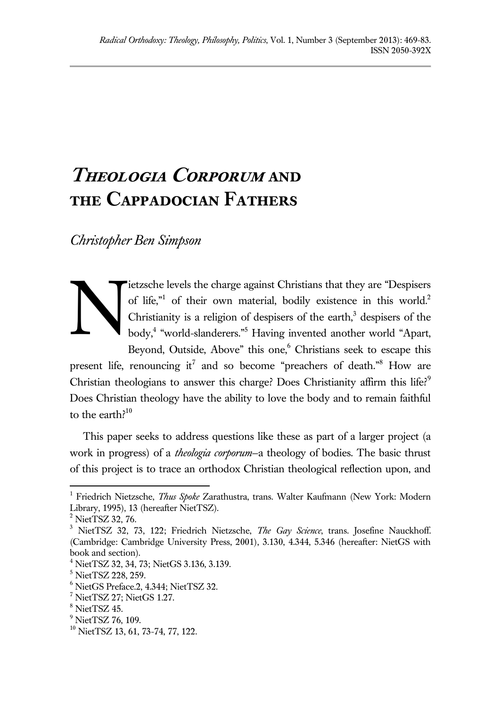# **Theologia Corporum and the Cappadocian Fathers**

*Christopher Ben Simpson*



ietzsche levels the charge against Christians that they are "Despisers of life,"<sup>1</sup> of their own material, bodily existence in this world.<sup>2</sup> Christianity is a religion of despisers of the earth, $3$  despisers of the body, 4 "world-slanderers."<sup>5</sup> Having invented another world "Apart, Beyond, Outside, Above" this one,<sup>6</sup> Christians seek to escape this

present life, renouncing it<sup>7</sup> and so become "preachers of death."<sup>8</sup> How are Christian theologians to answer this charge? Does Christianity affirm this life?<sup>9</sup> Does Christian theology have the ability to love the body and to remain faithful to the earth? $10$ 

This paper seeks to address questions like these as part of a larger project (a work in progress) of a *theologia corporum*—a theology of bodies. The basic thrust of this project is to trace an orthodox Christian theological reflection upon, and

<sup>1</sup> Friedrich Nietzsche, *Thus Spoke* Zarathustra, trans. Walter Kaufmann (New York: Modern Library, 1995), 13 (hereafter NietTSZ).

<sup>&</sup>lt;sup>2</sup> NietTSZ 32, 76.

<sup>3</sup> NietTSZ 32, 73, 122; Friedrich Nietzsche, *The Gay Science*, trans. Josefine Nauckhoff. (Cambridge: Cambridge University Press, 2001), 3.130, 4.344, 5.346 (hereafter: NietGS with book and section).

 $4$  NietTSZ 32, 34, 73; NietGS 3.136, 3.139.

<sup>5</sup> NietTSZ 228, 259.

 $^6$  NietGS Preface.2, 4.344; NietTSZ 32.

 $7$  NietTSZ 27; NietGS 1.27.

<sup>8</sup> NietTSZ 45.

 $<sup>9</sup>$  NietTSZ 76, 109.</sup>

<sup>10</sup> NietTSZ 13, 61, 73-74, 77, 122.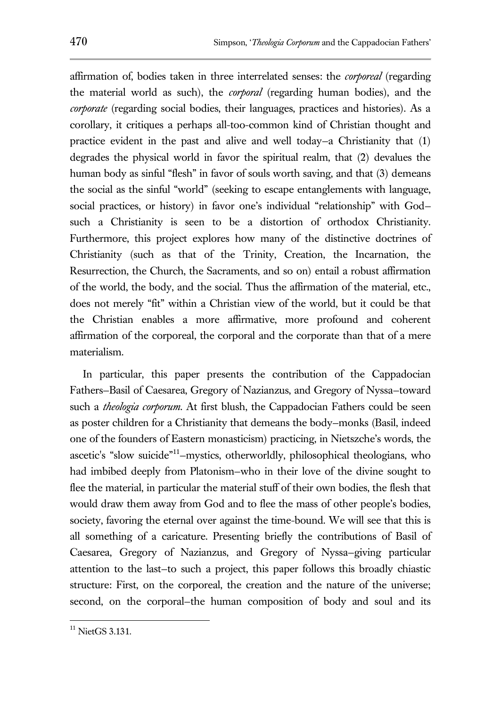affirmation of, bodies taken in three interrelated senses: the *corporeal* (regarding the material world as such), the *corporal* (regarding human bodies), and the *corporate* (regarding social bodies, their languages, practices and histories). As a corollary, it critiques a perhaps all-too-common kind of Christian thought and practice evident in the past and alive and well today—a Christianity that (1) degrades the physical world in favor the spiritual realm, that (2) devalues the human body as sinful "flesh" in favor of souls worth saving, and that (3) demeans the social as the sinful "world" (seeking to escape entanglements with language, social practices, or history) in favor one's individual "relationship" with God such a Christianity is seen to be a distortion of orthodox Christianity. Furthermore, this project explores how many of the distinctive doctrines of Christianity (such as that of the Trinity, Creation, the Incarnation, the Resurrection, the Church, the Sacraments, and so on) entail a robust affirmation of the world, the body, and the social. Thus the affirmation of the material, etc., does not merely "fit" within a Christian view of the world, but it could be that the Christian enables a more affirmative, more profound and coherent affirmation of the corporeal, the corporal and the corporate than that of a mere materialism.

In particular, this paper presents the contribution of the Cappadocian Fathers—Basil of Caesarea, Gregory of Nazianzus, and Gregory of Nyssa—toward such a *theologia corporum*. At first blush, the Cappadocian Fathers could be seen as poster children for a Christianity that demeans the body—monks (Basil, indeed one of the founders of Eastern monasticism) practicing, in Nietszche's words, the ascetic's "slow suicide"<sup>11</sup>-mystics, otherworldly, philosophical theologians, who had imbibed deeply from Platonism—who in their love of the divine sought to flee the material, in particular the material stuff of their own bodies, the flesh that would draw them away from God and to flee the mass of other people's bodies, society, favoring the eternal over against the time-bound. We will see that this is all something of a caricature. Presenting briefly the contributions of Basil of Caesarea, Gregory of Nazianzus, and Gregory of Nyssa—giving particular attention to the last—to such a project, this paper follows this broadly chiastic structure: First, on the corporeal, the creation and the nature of the universe; second, on the corporal—the human composition of body and soul and its

 $11$  NietGS 3.131.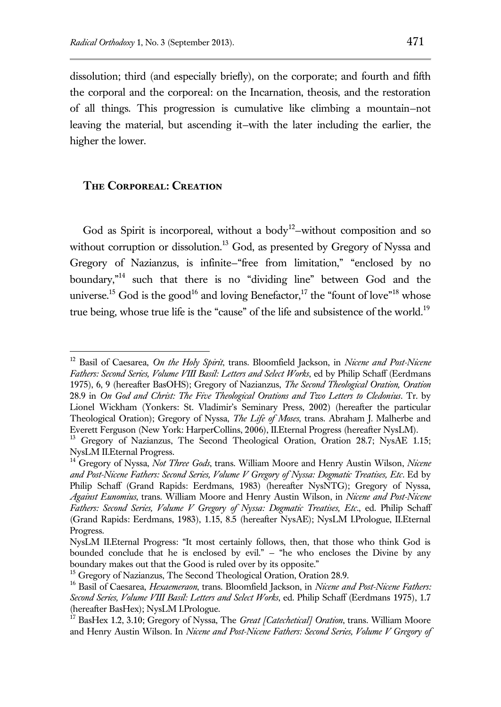dissolution; third (and especially briefly), on the corporate; and fourth and fifth the corporal and the corporeal: on the Incarnation, theosis, and the restoration of all things. This progression is cumulative like climbing a mountain—not leaving the material, but ascending it—with the later including the earlier, the higher the lower.

### **The Corporeal: Creation**

 $\overline{a}$ 

God as Spirit is incorporeal, without a body<sup>12</sup>-without composition and so without corruption or dissolution.<sup>13</sup> God, as presented by Gregory of Nyssa and Gregory of Nazianzus, is infinite—"free from limitation," "enclosed by no boundary,"<sup>14</sup> such that there is no "dividing line" between God and the universe.<sup>15</sup> God is the good<sup>16</sup> and loving Benefactor,<sup>17</sup> the "fount of love"<sup>18</sup> whose true being, whose true life is the "cause" of the life and subsistence of the world.<sup>19</sup>

<sup>12</sup> Basil of Caesarea, *On the Holy Spirit*, trans. Bloomfield Jackson, in *Nicene and Post-Nicene Fathers: Second Series, Volume VIII Basil: Letters and Select Works*, ed by Philip Schaff (Eerdmans 1975), 6, 9 (hereafter BasOHS); Gregory of Nazianzus, *The Second Theological Oration, Oration* 28.9 in *On God and Christ: The Five Theological Orations and Two Letters to Cledonius*. Tr. by Lionel Wickham (Yonkers: St. Vladimir's Seminary Press, 2002) (hereafter the particular Theological Oration); Gregory of Nyssa, *The Life of Moses*, trans. Abraham J. Malherbe and Everett Ferguson (New York: HarperCollins, 2006), II.Eternal Progress (hereafter NysLM).

<sup>&</sup>lt;sup>13</sup> Gregory of Nazianzus, The Second Theological Oration, Oration 28.7; NysAE 1.15; NysLM II.Eternal Progress.

<sup>14</sup> Gregory of Nyssa, *Not Three Gods*, trans. William Moore and Henry Austin Wilson, *Nicene and Post-Nicene Fathers: Second Series, Volume V Gregory of Nyssa: Dogmatic Treatises, Etc*. Ed by Philip Schaff (Grand Rapids: Eerdmans, 1983) (hereafter NysNTG); Gregory of Nyssa, *Against Eunomius*, trans. William Moore and Henry Austin Wilson, in *Nicene and Post-Nicene Fathers: Second Series, Volume V Gregory of Nyssa: Dogmatic Treatises, Etc*., ed. Philip Schaff (Grand Rapids: Eerdmans, 1983), 1.15, 8.5 (hereafter NysAE); NysLM I.Prologue, II.Eternal Progress.

NysLM II.Eternal Progress: "It most certainly follows, then, that those who think God is bounded conclude that he is enclosed by evil." — "he who encloses the Divine by any boundary makes out that the Good is ruled over by its opposite."

<sup>&</sup>lt;sup>15</sup> Gregory of Nazianzus, The Second Theological Oration, Oration 28.9.

<sup>16</sup> Basil of Caesarea, *Hexaemeraon*, trans. Bloomfield Jackson, in *Nicene and Post-Nicene Fathers: Second Series, Volume VIII Basil: Letters and Select Works*, ed. Philip Schaff (Eerdmans 1975), 1.7 (hereafter BasHex); NysLM I.Prologue.

<sup>&</sup>lt;sup>17</sup> BasHex 1.2, 3.10; Gregory of Nyssa, The *Great [Catechetical] Oration*, trans. William Moore and Henry Austin Wilson. In *Nicene and Post-Nicene Fathers: Second Series, Volume V Gregory of*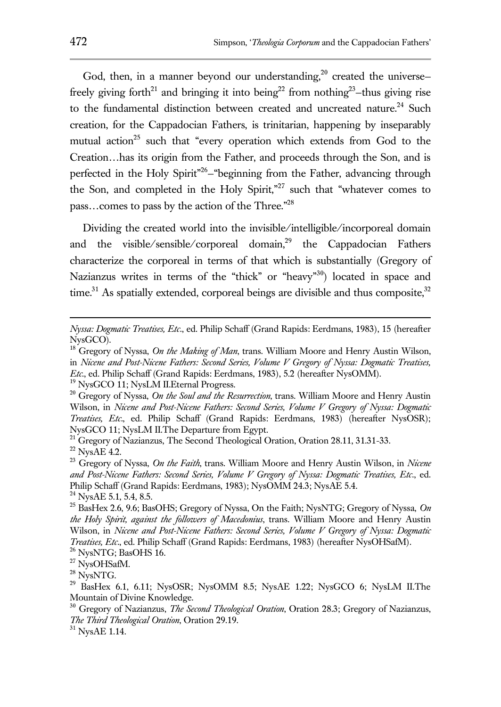God, then, in a manner beyond our understanding,<sup>20</sup> created the universefreely giving forth<sup>21</sup> and bringing it into being<sup>22</sup> from nothing<sup>23</sup>-thus giving rise to the fundamental distinction between created and uncreated nature.<sup>24</sup> Such creation, for the Cappadocian Fathers, is trinitarian, happening by inseparably mutual action<sup>25</sup> such that "every operation which extends from God to the Creation…has its origin from the Father, and proceeds through the Son, and is perfected in the Holy Spirit<sup>"26</sup>-"beginning from the Father, advancing through the Son, and completed in the Holy Spirit,"<sup>27</sup> such that "whatever comes to pass…comes to pass by the action of the Three."<sup>28</sup>

Dividing the created world into the invisible/intelligible/incorporeal domain and the visible/sensible/corporeal domain,<sup>29</sup> the Cappadocian Fathers characterize the corporeal in terms of that which is substantially (Gregory of Nazianzus writes in terms of the "thick" or "heavy"<sup>30</sup>) located in space and time.<sup>31</sup> As spatially extended, corporeal beings are divisible and thus composite,  $32$ 

 $^{26}\,$  NysNTG; BasOHS 16.

 $^{28}$  NysNTG.

 $^{31}$  NysAE 1.14.

*Nyssa: Dogmatic Treatises, Etc*., ed. Philip Schaff (Grand Rapids: Eerdmans, 1983), 15 (hereafter NysGCO).

<sup>&</sup>lt;sup>18</sup> Gregory of Nyssa, *On the Making of Man*, trans. William Moore and Henry Austin Wilson, in *Nicene and Post-Nicene Fathers: Second Series, Volume V Gregory of Nyssa: Dogmatic Treatises, Etc*., ed. Philip Schaff (Grand Rapids: Eerdmans, 1983), 5.2 (hereafter NysOMM).

<sup>&</sup>lt;sup>19</sup> NysGCO 11; NysLM II.Eternal Progress.

<sup>20</sup> Gregory of Nyssa, *On the Soul and the Resurrection*, trans. William Moore and Henry Austin Wilson, in *Nicene and Post-Nicene Fathers: Second Series, Volume V Gregory of Nyssa: Dogmatic Treatises, Etc*., ed. Philip Schaff (Grand Rapids: Eerdmans, 1983) (hereafter NysOSR); NysGCO 11; NysLM II.The Departure from Egypt.

<sup>&</sup>lt;sup>21</sup> Gregory of Nazianzus, The Second Theological Oration, Oration 28.11, 31.31-33.  $\rm ^{22}$  NysAE 4.2.

<sup>23</sup> Gregory of Nyssa, *On the Faith*, trans. William Moore and Henry Austin Wilson, in *Nicene and Post-Nicene Fathers: Second Series, Volume V Gregory of Nyssa: Dogmatic Treatises, Etc*., ed. Philip Schaff (Grand Rapids: Eerdmans, 1983); NysOMM 24.3; NysAE 5.4.  $24$  NysAE 5.1, 5.4, 8.5.

<sup>25</sup> BasHex 2.6, 9.6; BasOHS; Gregory of Nyssa, On the Faith; NysNTG; Gregory of Nyssa, *On the Holy Spirit, against the followers of Macedonius*, trans. William Moore and Henry Austin Wilson, in *Nicene and Post-Nicene Fathers: Second Series, Volume V Gregory of Nyssa: Dogmatic Treatises, Etc*., ed. Philip Schaff (Grand Rapids: Eerdmans, 1983) (hereafter NysOHSafM).

<sup>&</sup>lt;sup>27</sup> NysOHSafM.

 $29$  BasHex 6.1, 6.11; NysOSR; NysOMM 8.5; NysAE 1.22; NysGCO 6; NysLM II.The Mountain of Divine Knowledge.

<sup>30</sup> Gregory of Nazianzus, *The Second Theological Oration*, Oration 28.3; Gregory of Nazianzus, *The Third Theological Oration*, Oration 29.19.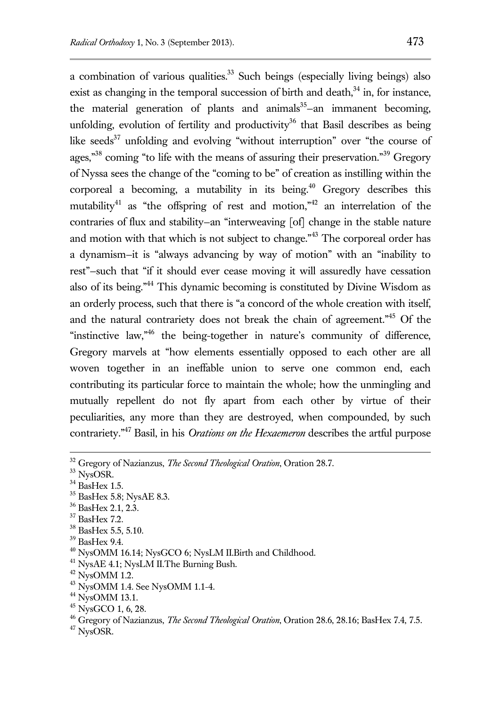a combination of various qualities.<sup>33</sup> Such beings (especially living beings) also exist as changing in the temporal succession of birth and death, $34$  in, for instance, the material generation of plants and animals<sup>35</sup>-an immanent becoming, unfolding, evolution of fertility and productivity<sup>36</sup> that Basil describes as being like seeds $37$  unfolding and evolving "without interruption" over "the course of ages."<sup>38</sup> coming "to life with the means of assuring their preservation."<sup>39</sup> Gregory of Nyssa sees the change of the "coming to be" of creation as instilling within the corporeal a becoming, a mutability in its being.<sup>40</sup> Gregory describes this mutability<sup>41</sup> as "the offspring of rest and motion,"<sup>42</sup> an interrelation of the contraries of flux and stability—an "interweaving [of] change in the stable nature and motion with that which is not subject to change."<sup>43</sup> The corporeal order has a dynamism—it is "always advancing by way of motion" with an "inability to rest"—such that "if it should ever cease moving it will assuredly have cessation also of its being."<sup>44</sup> This dynamic becoming is constituted by Divine Wisdom as an orderly process, such that there is "a concord of the whole creation with itself, and the natural contrariety does not break the chain of agreement."<sup>45</sup> Of the "instinctive law,"<sup>46</sup> the being-together in nature's community of difference, Gregory marvels at "how elements essentially opposed to each other are all woven together in an ineffable union to serve one common end, each contributing its particular force to maintain the whole; how the unmingling and mutually repellent do not fly apart from each other by virtue of their peculiarities, any more than they are destroyed, when compounded, by such contrariety."<sup>47</sup> Basil, in his *Orations on the Hexaemeron* describes the artful purpose

<sup>39</sup> BasHex 9.4.

<sup>41</sup> NysAE 4.1; NysLM II. The Burning Bush.

<sup>47</sup> NysOSR.

<sup>32</sup> Gregory of Nazianzus, *The Second Theological Oration*, Oration 28.7.

<sup>33</sup> NysOSR.

 $34$  BasHex 1.5.

<sup>35</sup> BasHex 5.8; NysAE 8.3.

<sup>36</sup> BasHex 2.1, 2.3.

<sup>37</sup> BasHex 7.2.

<sup>38</sup> BasHex 5.5, 5.10.

<sup>40</sup> NysOMM 16.14; NysGCO 6; NysLM II.Birth and Childhood.

 $42$  NysOMM 1.2.

<sup>43</sup> NysOMM 1.4. See NysOMM 1.1-4.

 $44$  NysOMM 13.1.

<sup>45</sup> NysGCO 1, 6, 28.

<sup>46</sup> Gregory of Nazianzus, *The Second Theological Oration*, Oration 28.6, 28.16; BasHex 7.4, 7.5.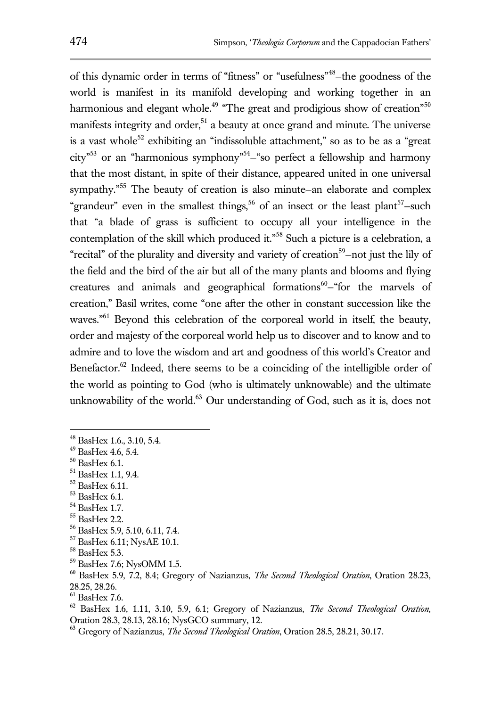of this dynamic order in terms of "fitness" or "usefulness"<sup>48</sup> —the goodness of the world is manifest in its manifold developing and working together in an harmonious and elegant whole.<sup>49</sup> "The great and prodigious show of creation"<sup>50</sup> manifests integrity and order,<sup>51</sup> a beauty at once grand and minute. The universe is a vast whole<sup>52</sup> exhibiting an "indissoluble attachment," so as to be as a "great" city"<sup>53</sup> or an "harmonious symphony"<sup>54</sup> —"so perfect a fellowship and harmony that the most distant, in spite of their distance, appeared united in one universal sympathy."<sup>55</sup> The beauty of creation is also minute–an elaborate and complex "grandeur" even in the smallest things,<sup>56</sup> of an insect or the least plant<sup>57</sup>-such that "a blade of grass is sufficient to occupy all your intelligence in the contemplation of the skill which produced it."<sup>58</sup> Such a picture is a celebration, a "recital" of the plurality and diversity and variety of creation<sup>59</sup>-not just the lily of the field and the bird of the air but all of the many plants and blooms and flying creatures and animals and geographical formations $60$ -"for the marvels of creation," Basil writes, come "one after the other in constant succession like the waves."<sup>61</sup> Beyond this celebration of the corporeal world in itself, the beauty, order and majesty of the corporeal world help us to discover and to know and to admire and to love the wisdom and art and goodness of this world's Creator and Benefactor.<sup>62</sup> Indeed, there seems to be a coinciding of the intelligible order of the world as pointing to God (who is ultimately unknowable) and the ultimate unknowability of the world. $63$  Our understanding of God, such as it is, does not

- <sup>52</sup> BasHex 6.11.
- <sup>53</sup> BasHex 6.1.
- <sup>54</sup> BasHex 1.7.
- <sup>55</sup> BasHex 2.2.
- <sup>56</sup> BasHex 5.9, 5.10, 6.11, 7.4.
- <sup>57</sup> BasHex 6.11; NysAE 10.1.
- <sup>58</sup> BasHex 5.3.
- <sup>59</sup> BasHex 7.6; NysOMM 1.5.

<sup>48</sup> BasHex 1.6., 3.10, 5.4.

 $49$  BasHex 4.6, 5.4.

 $^{50}$  BasHex 6.1.

<sup>51</sup> BasHex 1.1, 9.4.

<sup>60</sup> BasHex 5.9, 7.2, 8.4; Gregory of Nazianzus, *The Second Theological Oration*, Oration 28.23, 28.25, 28.26.

 $^{61}$  BasHex 7.6.

<sup>62</sup> BasHex 1.6, 1.11, 3.10, 5.9, 6.1; Gregory of Nazianzus, *The Second Theological Oration*, Oration 28.3, 28.13, 28.16; NysGCO summary, 12.

<sup>63</sup> Gregory of Nazianzus, *The Second Theological Oration*, Oration 28.5, 28.21, 30.17.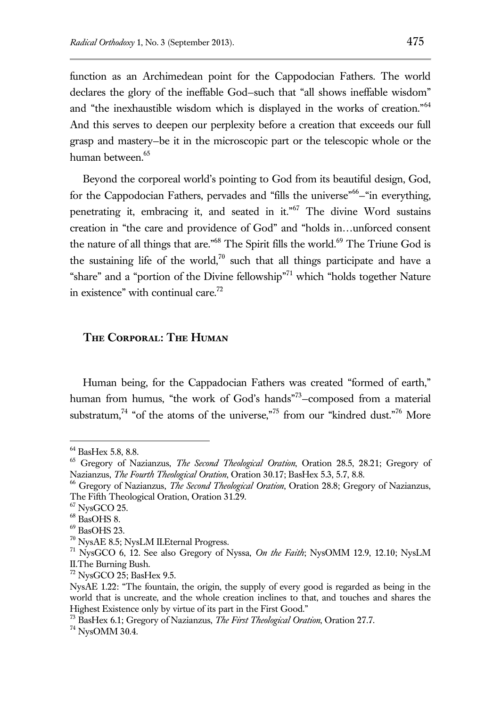function as an Archimedean point for the Cappodocian Fathers. The world declares the glory of the ineffable God—such that "all shows ineffable wisdom" and "the inexhaustible wisdom which is displayed in the works of creation."<sup>64</sup> And this serves to deepen our perplexity before a creation that exceeds our full grasp and mastery—be it in the microscopic part or the telescopic whole or the human between.<sup>65</sup>

Beyond the corporeal world's pointing to God from its beautiful design, God, for the Cappodocian Fathers, pervades and "fills the universe"<sup>66</sup>-"in everything, penetrating it, embracing it, and seated in it."<sup>67</sup> The divine Word sustains creation in "the care and providence of God" and "holds in…unforced consent the nature of all things that are."<sup>68</sup> The Spirit fills the world.<sup>69</sup> The Triune God is the sustaining life of the world,<sup>70</sup> such that all things participate and have a "share" and a "portion of the Divine fellowship"<sup>71</sup> which "holds together Nature in existence" with continual care.<sup>72</sup>

## **The Corporal: The Human**

Human being, for the Cappadocian Fathers was created "formed of earth," human from humus, "the work of God's hands"<sup>73</sup>-composed from a material substratum,<sup>74</sup> "of the atoms of the universe,"<sup>75</sup> from our "kindred dust."<sup>76</sup> More

<sup>64</sup> BasHex 5.8, 8.8.

<sup>65</sup> Gregory of Nazianzus, *The Second Theological Oration*, Oration 28.5, 28.21; Gregory of Nazianzus, *The Fourth Theological Oration*, Oration 30.17; BasHex 5.3, 5.7, 8.8.

<sup>66</sup> Gregory of Nazianzus, *The Second Theological Oration*, Oration 28.8; Gregory of Nazianzus, The Fifth Theological Oration, Oration 31.29.

 $67$  NysGCO 25.

<sup>68</sup> BasOHS 8.

<sup>69</sup> BasOHS 23.

<sup>70</sup> NysAE 8.5; NysLM II.Eternal Progress.

<sup>71</sup> NysGCO 6, 12. See also Gregory of Nyssa, *On the Faith*; NysOMM 12.9, 12.10; NysLM II.The Burning Bush.

<sup>72</sup> NysGCO 25; BasHex 9.5.

NysAE 1.22: "The fountain, the origin, the supply of every good is regarded as being in the world that is uncreate, and the whole creation inclines to that, and touches and shares the Highest Existence only by virtue of its part in the First Good."

<sup>73</sup> BasHex 6.1; Gregory of Nazianzus, *The First Theological Oration*, Oration 27.7.

 $^{74}$  NysOMM 30.4.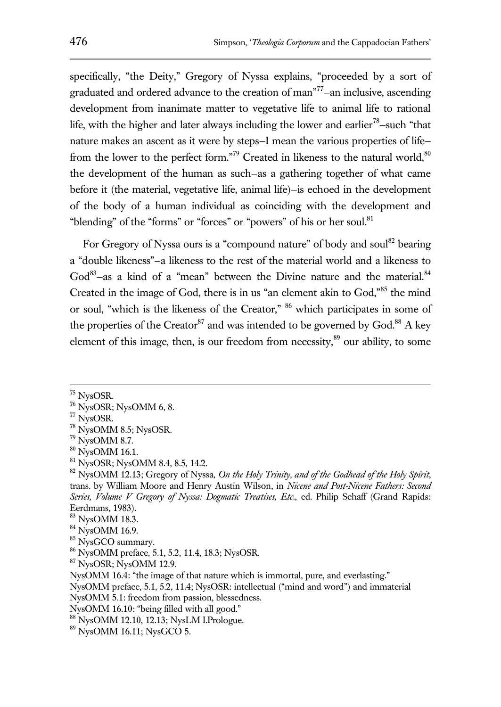specifically, "the Deity," Gregory of Nyssa explains, "proceeded by a sort of graduated and ordered advance to the creation of man<sup>"77</sup>-an inclusive, ascending development from inanimate matter to vegetative life to animal life to rational life, with the higher and later always including the lower and earlier<sup>78</sup>-such "that nature makes an ascent as it were by steps—I mean the various properties of life from the lower to the perfect form."<sup>79</sup> Created in likeness to the natural world,  $80$ the development of the human as such—as a gathering together of what came before it (the material, vegetative life, animal life)—is echoed in the development of the body of a human individual as coinciding with the development and "blending" of the "forms" or "forces" or "powers" of his or her soul.<sup>81</sup>

For Gregory of Nyssa ours is a "compound nature" of body and soul<sup>82</sup> bearing a "double likeness"—a likeness to the rest of the material world and a likeness to God<sup>83</sup>-as a kind of a "mean" between the Divine nature and the material.<sup>84</sup> Created in the image of God, there is in us "an element akin to God,"<sup>85</sup> the mind or soul, "which is the likeness of the Creator," <sup>86</sup> which participates in some of the properties of the Creator<sup>87</sup> and was intended to be governed by God.<sup>88</sup> A key element of this image, then, is our freedom from necessity, $8^9$  our ability, to some

<sup>75</sup> NysOSR.

 $76$  NysOSR; NysOMM 6, 8.

<sup>77</sup> NysOSR.

<sup>78</sup> NysOMM 8.5; NysOSR.

<sup>79</sup> NysOMM 8.7.

<sup>80</sup> NysOMM 16.1.

<sup>81</sup> NysOSR; NysOMM 8.4, 8.5, 14.2.

<sup>82</sup> NysOMM 12.13; Gregory of Nyssa, *On the Holy Trinity, and of the Godhead of the Holy Spirit*, trans. by William Moore and Henry Austin Wilson, in *Nicene and Post-Nicene Fathers: Second Series, Volume V Gregory of Nyssa: Dogmatic Treatises, Etc*., ed. Philip Schaff (Grand Rapids: Eerdmans, 1983).

<sup>83</sup> NysOMM 18.3.

<sup>84</sup> NysOMM 16.9.

<sup>&</sup>lt;sup>85</sup> NysGCO summary.

<sup>86</sup> NysOMM preface, 5.1, 5.2, 11.4, 18.3; NysOSR.

 $87$  NysOSR; NysOMM 12.9.

NysOMM 16.4: "the image of that nature which is immortal, pure, and everlasting."

NysOMM preface, 5.1, 5.2, 11.4; NysOSR: intellectual ("mind and word") and immaterial NysOMM 5.1: freedom from passion, blessedness.

NysOMM 16.10: "being filled with all good."

<sup>88</sup> NysOMM 12.10, 12.13; NysLM I.Prologue.

 $89$  NysOMM 16.11; NysGCO 5.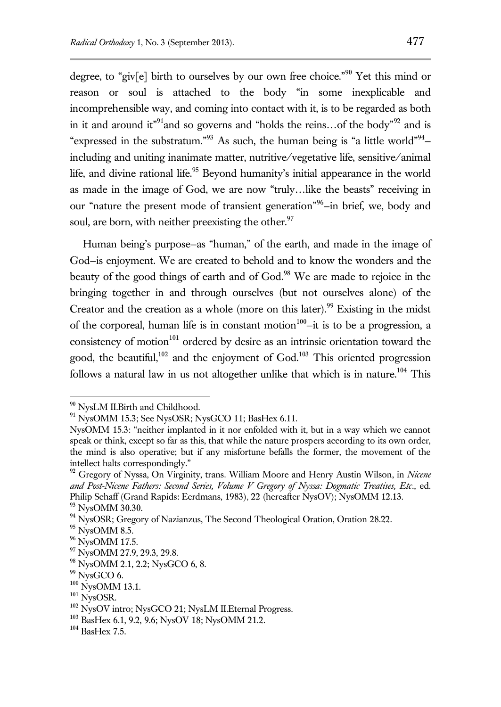degree, to "giv[e] birth to ourselves by our own free choice."<sup>90</sup> Yet this mind or reason or soul is attached to the body "in some inexplicable and incomprehensible way, and coming into contact with it, is to be regarded as both in it and around it<sup>"91</sup> and so governs and "holds the reins...of the body"<sup>92</sup> and is "expressed in the substratum."<sup>93</sup> As such, the human being is "a little world"<sup>94</sup>including and uniting inanimate matter, nutritive/vegetative life, sensitive/animal life, and divine rational life.<sup>95</sup> Beyond humanity's initial appearance in the world as made in the image of God, we are now "truly…like the beasts" receiving in our "nature the present mode of transient generation"<sup>96</sup>-in brief, we, body and soul, are born, with neither preexisting the other.<sup>97</sup>

Human being's purpose—as "human," of the earth, and made in the image of God—is enjoyment. We are created to behold and to know the wonders and the beauty of the good things of earth and of God.<sup>98</sup> We are made to rejoice in the bringing together in and through ourselves (but not ourselves alone) of the Creator and the creation as a whole (more on this later).<sup>99</sup> Existing in the midst of the corporeal, human life is in constant motion $100$ -it is to be a progression, a consistency of motion $101$  ordered by desire as an intrinsic orientation toward the good, the beautiful,<sup>102</sup> and the enjoyment of God.<sup>103</sup> This oriented progression follows a natural law in us not altogether unlike that which is in nature.<sup>104</sup> This

<sup>&</sup>lt;sup>90</sup> NysLM II.Birth and Childhood.

<sup>&</sup>lt;sup>91</sup> NysOMM 15.3; See NysOSR; NysGCO 11; BasHex 6.11.

NysOMM 15.3: "neither implanted in it nor enfolded with it, but in a way which we cannot speak or think, except so far as this, that while the nature prospers according to its own order, the mind is also operative; but if any misfortune befalls the former, the movement of the intellect halts correspondingly."

<sup>92</sup> Gregory of Nyssa, On Virginity, trans. William Moore and Henry Austin Wilson, in *Nicene and Post-Nicene Fathers: Second Series, Volume V Gregory of Nyssa: Dogmatic Treatises, Etc*., ed. Philip Schaff (Grand Rapids: Eerdmans, 1983), 22 (hereafter NysOV); NysOMM 12.13.

<sup>93</sup> NysOMM 30.30.

<sup>&</sup>lt;sup>94</sup> NysOSR; Gregory of Nazianzus, The Second Theological Oration, Oration 28.22.

<sup>&</sup>lt;sup>95</sup> NysOMM 8.5.

<sup>&</sup>lt;sup>96</sup> NysOMM 17.5.

<sup>&</sup>lt;sup>97</sup> NysOMM 27.9, 29.3, 29.8.

<sup>98</sup> NysOMM 2.1, 2.2; NysGCO 6, 8.

 $99$  NysGCO 6.

 $100$  NysOMM 13.1.

 $101$  NysOSR.

<sup>&</sup>lt;sup>102</sup> NysOV intro; NysGCO 21; NysLM II.Eternal Progress.

<sup>103</sup> BasHex 6.1, 9.2, 9.6; NysOV 18; NysOMM 21.2.

 $104$  BasHex 7.5.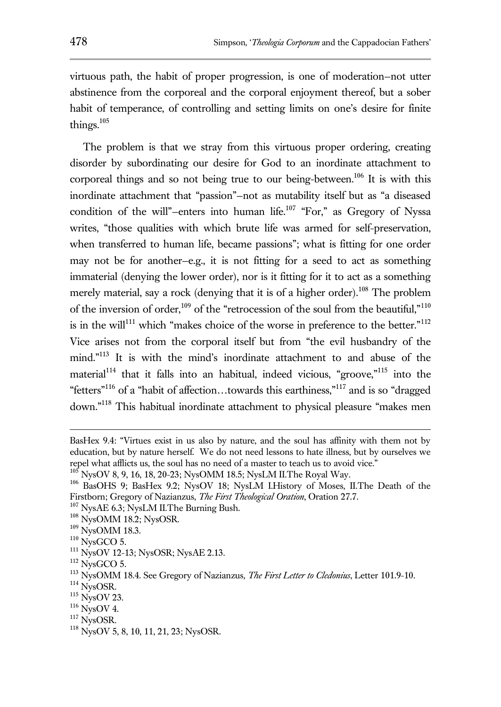virtuous path, the habit of proper progression, is one of moderation—not utter abstinence from the corporeal and the corporal enjoyment thereof, but a sober habit of temperance, of controlling and setting limits on one's desire for finite things. $105$ 

The problem is that we stray from this virtuous proper ordering, creating disorder by subordinating our desire for God to an inordinate attachment to corporeal things and so not being true to our being-between.<sup>106</sup> It is with this inordinate attachment that "passion"—not as mutability itself but as "a diseased condition of the will"-enters into human life.<sup>107</sup> "For," as Gregory of Nyssa writes, "those qualities with which brute life was armed for self-preservation, when transferred to human life, became passions"; what is fitting for one order may not be for another—e.g., it is not fitting for a seed to act as something immaterial (denying the lower order), nor is it fitting for it to act as a something merely material, say a rock (denying that it is of a higher order).<sup>108</sup> The problem of the inversion of order,<sup>109</sup> of the "retrocession of the soul from the beautiful,"<sup>110</sup> is in the will<sup>111</sup> which "makes choice of the worse in preference to the better."<sup>112</sup> Vice arises not from the corporal itself but from "the evil husbandry of the mind."<sup>113</sup> It is with the mind's inordinate attachment to and abuse of the material<sup>114</sup> that it falls into an habitual, indeed vicious, "groove,"<sup>115</sup> into the "fetters"<sup>116</sup> of a "habit of affection…towards this earthiness,"<sup>117</sup> and is so "dragged down."<sup>118</sup> This habitual inordinate attachment to physical pleasure "makes men

BasHex 9.4: "Virtues exist in us also by nature, and the soul has affinity with them not by education, but by nature herself. We do not need lessons to hate illness, but by ourselves we repel what afflicts us, the soul has no need of a master to teach us to avoid vice."

<sup>105</sup> NysOV 8, 9, 16, 18, 20-23; NysOMM 18.5; NysLM II.The Royal Way.

<sup>106</sup> BasOHS 9; BasHex 9.2; NysOV 18; NysLM I.History of Moses, II.The Death of the Firstborn; Gregory of Nazianzus, *The First Theological Oration*, Oration 27.7.

<sup>&</sup>lt;sup>107</sup> NysAE 6.3; NysLM II. The Burning Bush.

<sup>108</sup> NysOMM 18.2; NysOSR.

<sup>109</sup> NysOMM 18.3.

 $110$  NysGCO 5.

<sup>111</sup> NysOV 12-13; NysOSR; NysAE 2.13.

 $112$  NysGCO 5.

<sup>113</sup> NysOMM 18.4. See Gregory of Nazianzus*, The First Letter to Cledonius*, Letter 101.9-10.

<sup>114</sup> NysOSR.

 $115$  NysOV 23.

 $116$  NysOV 4.

<sup>117</sup> NysOSR.

<sup>118</sup> NysOV 5, 8, 10, 11, 21, 23; NysOSR.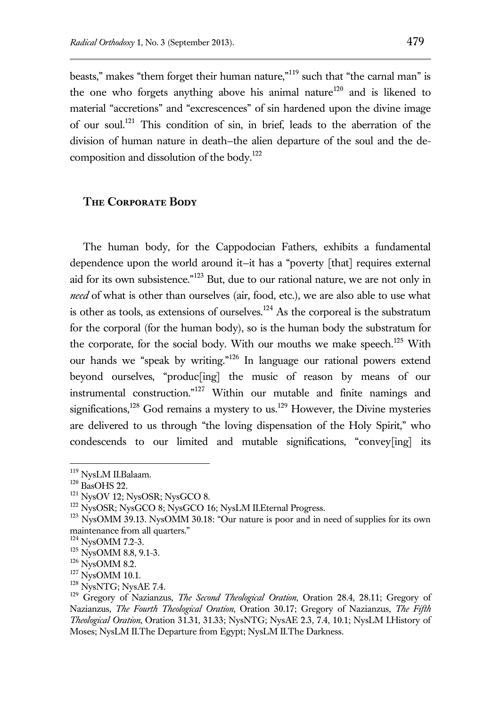beasts," makes "them forget their human nature,"<sup>119</sup> such that "the carnal man" is the one who forgets anything above his animal nature<sup>120</sup> and is likened to material "accretions" and "excrescences" of sin hardened upon the divine image of our soul.<sup>121</sup> This condition of sin, in brief, leads to the aberration of the division of human nature in death—the alien departure of the soul and the decomposition and dissolution of the body.<sup>122</sup>

### **The Corporate Body**

The human body, for the Cappodocian Fathers, exhibits a fundamental dependence upon the world around it—it has a "poverty [that] requires external aid for its own subsistence."<sup>123</sup> But, due to our rational nature, we are not only in *need* of what is other than ourselves (air, food, etc.), we are also able to use what is other as tools, as extensions of ourselves.<sup>124</sup> As the corporeal is the substratum for the corporal (for the human body), so is the human body the substratum for the corporate, for the social body. With our mouths we make speech.<sup>125</sup> With our hands we "speak by writing."<sup>126</sup> In language our rational powers extend beyond ourselves, "produc[ing] the music of reason by means of our instrumental construction."<sup>127</sup> Within our mutable and finite namings and significations,<sup>128</sup> God remains a mystery to us.<sup>129</sup> However, the Divine mysteries are delivered to us through "the loving dispensation of the Holy Spirit," who condescends to our limited and mutable significations, "convey[ing] its

<sup>&</sup>lt;sup>119</sup> NysLM II.Balaam.

 $120$  BasOHS 22.

<sup>121</sup> NysOV 12; NysOSR; NysGCO 8.

<sup>&</sup>lt;sup>122</sup> NysOSR; NysGCO 8; NysGCO 16; NysLM II.Eternal Progress.

<sup>&</sup>lt;sup>123</sup> NysOMM 39.13. NysOMM 30.18: "Our nature is poor and in need of supplies for its own maintenance from all quarters."

<sup>124</sup> NysOMM 7.2-3.

<sup>&</sup>lt;sup>125</sup> NysOMM 8.8, 9.1-3.

<sup>126</sup> NysOMM 8.2.

<sup>&</sup>lt;sup>127</sup> NysOMM 10.1.

<sup>&</sup>lt;sup>128</sup> NysNTG; NysAE 7.4.

<sup>129</sup> Gregory of Nazianzus, *The Second Theological Oration*, Oration 28.4, 28.11; Gregory of Nazianzus, *The Fourth Theological Oration*, Oration 30.17; Gregory of Nazianzus, *The Fifth Theological Oration*, Oration 31.31, 31.33; NysNTG; NysAE 2.3, 7.4, 10.1; NysLM I.History of Moses; NysLM II.The Departure from Egypt; NysLM II.The Darkness.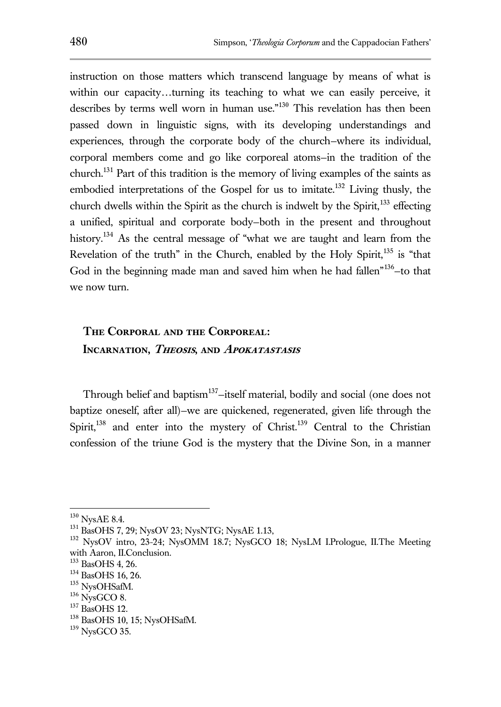instruction on those matters which transcend language by means of what is within our capacity…turning its teaching to what we can easily perceive, it describes by terms well worn in human use."<sup>130</sup> This revelation has then been passed down in linguistic signs, with its developing understandings and experiences, through the corporate body of the church—where its individual, corporal members come and go like corporeal atoms—in the tradition of the church.<sup>131</sup> Part of this tradition is the memory of living examples of the saints as embodied interpretations of the Gospel for us to imitate.<sup>132</sup> Living thusly, the church dwells within the Spirit as the church is indwelt by the Spirit, $133$  effecting a unified, spiritual and corporate body—both in the present and throughout history.<sup>134</sup> As the central message of "what we are taught and learn from the Revelation of the truth" in the Church, enabled by the Holy Spirit, $135$  is "that God in the beginning made man and saved him when he had fallen<sup>"136</sup>-to that we now turn.

# **The Corporal and the Corporeal: Incarnation, Theosis, and Apokatastasis**

Through belief and baptism<sup>137</sup>-itself material, bodily and social (one does not baptize oneself, after all)—we are quickened, regenerated, given life through the Spirit, $138$  and enter into the mystery of Christ. $139$  Central to the Christian confession of the triune God is the mystery that the Divine Son, in a manner

 $130$  NysAE 8.4.

<sup>131</sup> BasOHS 7, 29; NysOV 23; NysNTG; NysAE 1.13,

<sup>132</sup> NysOV intro, 23-24; NysOMM 18.7; NysGCO 18; NysLM I.Prologue, II.The Meeting with Aaron, II.Conclusion.

<sup>133</sup> BasOHS 4, 26.

<sup>134</sup> BasOHS 16, 26.

<sup>&</sup>lt;sup>135</sup> NysOHSafM.

 $136$  NysGCO 8.

<sup>137</sup> BasOHS 12.

<sup>&</sup>lt;sup>138</sup> BasOHS 10, 15; NysOHSafM.

 $139$  NysGCO 35.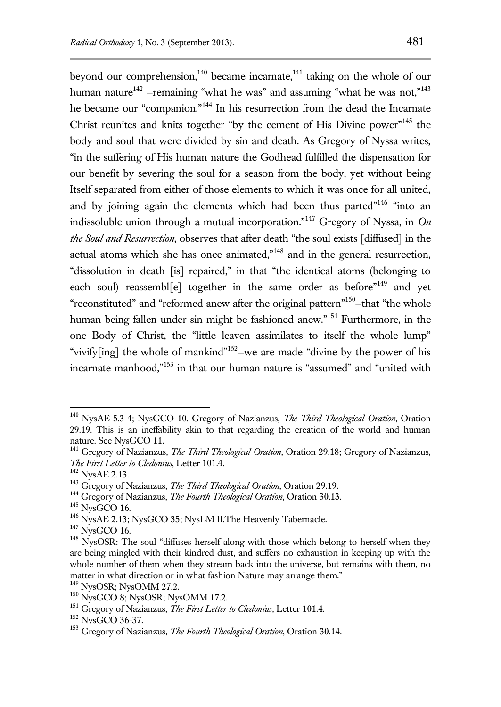beyond our comprehension, $140$  became incarnate, $141$  taking on the whole of our human nature<sup>142</sup> –remaining "what he was" and assuming "what he was not,"<sup>143</sup> he became our "companion."<sup>144</sup> In his resurrection from the dead the Incarnate Christ reunites and knits together "by the cement of His Divine power"<sup>145</sup> the body and soul that were divided by sin and death. As Gregory of Nyssa writes, "in the suffering of His human nature the Godhead fulfilled the dispensation for our benefit by severing the soul for a season from the body, yet without being Itself separated from either of those elements to which it was once for all united, and by joining again the elements which had been thus parted"<sup>146</sup> "into an indissoluble union through a mutual incorporation."<sup>147</sup> Gregory of Nyssa, in *On the Soul and Resurrection*, observes that after death "the soul exists [diffused] in the actual atoms which she has once animated," $148$  and in the general resurrection, "dissolution in death [is] repaired," in that "the identical atoms (belonging to each soul) reassembl[e] together in the same order as before<sup>"149</sup> and yet "reconstituted" and "reformed anew after the original pattern"<sup>150</sup>-that "the whole human being fallen under sin might be fashioned anew."<sup>151</sup> Furthermore, in the one Body of Christ, the "little leaven assimilates to itself the whole lump" "vivify[ing] the whole of mankind"<sup>152</sup>-we are made "divine by the power of his incarnate manhood,"<sup>153</sup> in that our human nature is "assumed" and "united with

<sup>140</sup> NysAE 5.3-4; NysGCO 10. Gregory of Nazianzus, *The Third Theological Oration*, Oration 29.19. This is an ineffability akin to that regarding the creation of the world and human nature. See NysGCO 11.

<sup>141</sup> Gregory of Nazianzus, *The Third Theological Oration*, Oration 29.18; Gregory of Nazianzus, *The First Letter to Cledonius*, Letter 101.4.

<sup>&</sup>lt;sup>142</sup> NysAE 2.13.

<sup>143</sup> Gregory of Nazianzus, *The Third Theological Oration*, Oration 29.19.

<sup>144</sup> Gregory of Nazianzus, *The Fourth Theological Oration*, Oration 30.13.

 $145$  NysGCO 16.

<sup>&</sup>lt;sup>146</sup> NysAE 2.13; NysGCO 35; NysLM II.The Heavenly Tabernacle.

 $147$  NysGCO 16.

<sup>&</sup>lt;sup>148</sup> NysOSR: The soul "diffuses herself along with those which belong to herself when they are being mingled with their kindred dust, and suffers no exhaustion in keeping up with the whole number of them when they stream back into the universe, but remains with them, no matter in what direction or in what fashion Nature may arrange them."

<sup>149</sup> NysOSR; NysOMM 27.2.

<sup>150</sup> NysGCO 8; NysOSR; NysOMM 17.2.

<sup>151</sup> Gregory of Nazianzus, *The First Letter to Cledonius*, Letter 101.4.

<sup>152</sup> NysGCO 36-37.

<sup>153</sup> Gregory of Nazianzus, *The Fourth Theological Oration*, Oration 30.14.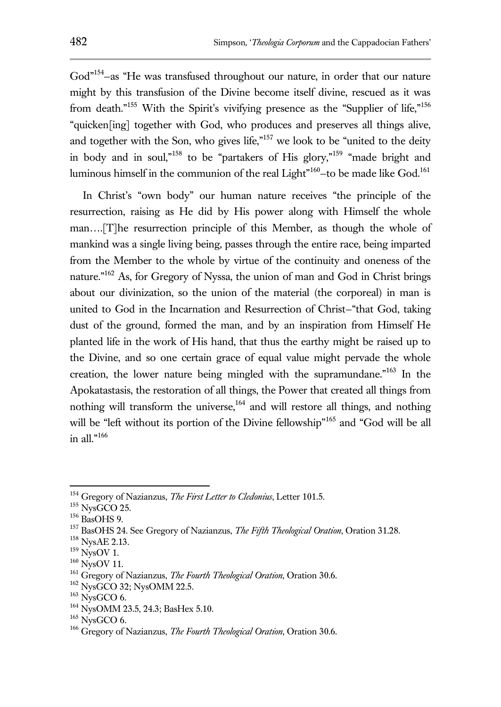God"<sup>154</sup>-as "He was transfused throughout our nature, in order that our nature might by this transfusion of the Divine become itself divine, rescued as it was from death."<sup>155</sup> With the Spirit's vivifying presence as the "Supplier of life,"<sup>156</sup> "quicken[ing] together with God, who produces and preserves all things alive, and together with the Son, who gives life,"<sup>157</sup> we look to be "united to the deity in body and in soul,"<sup>158</sup> to be "partakers of His glory,"<sup>159</sup> "made bright and luminous himself in the communion of the real Light"<sup>160</sup>-to be made like God.<sup>161</sup>

In Christ's "own body" our human nature receives "the principle of the resurrection, raising as He did by His power along with Himself the whole man….[T]he resurrection principle of this Member, as though the whole of mankind was a single living being, passes through the entire race, being imparted from the Member to the whole by virtue of the continuity and oneness of the nature."<sup>162</sup> As, for Gregory of Nyssa, the union of man and God in Christ brings about our divinization, so the union of the material (the corporeal) in man is united to God in the Incarnation and Resurrection of Christ—"that God, taking dust of the ground, formed the man, and by an inspiration from Himself He planted life in the work of His hand, that thus the earthy might be raised up to the Divine, and so one certain grace of equal value might pervade the whole creation, the lower nature being mingled with the supramundane."<sup>163</sup> In the Apokatastasis, the restoration of all things, the Power that created all things from nothing will transform the universe,  $164$  and will restore all things, and nothing will be "left without its portion of the Divine fellowship"<sup>165</sup> and "God will be all in all." $166$ 

<sup>154</sup> Gregory of Nazianzus, *The First Letter to Cledonius*, Letter 101.5.

 $^{155}\,$  NysGCO 25.

<sup>156</sup> BasOHS 9.

<sup>157</sup> BasOHS 24. See Gregory of Nazianzus, *The Fifth Theological Oration*, Oration 31.28.

<sup>158</sup> NysAE 2.13.

 $159$  NysOV 1.

<sup>160</sup> NysOV 11.

<sup>161</sup> Gregory of Nazianzus, *The Fourth Theological Oration*, Oration 30.6.

<sup>&</sup>lt;sup>162</sup> NysGCO 32; NysOMM 22.5.

 $163$  NysGCO 6.

<sup>164</sup> NysOMM 23.5, 24.3; BasHex 5.10.

 $165$  NysGCO 6.

<sup>166</sup> Gregory of Nazianzus, *The Fourth Theological Oration*, Oration 30.6.